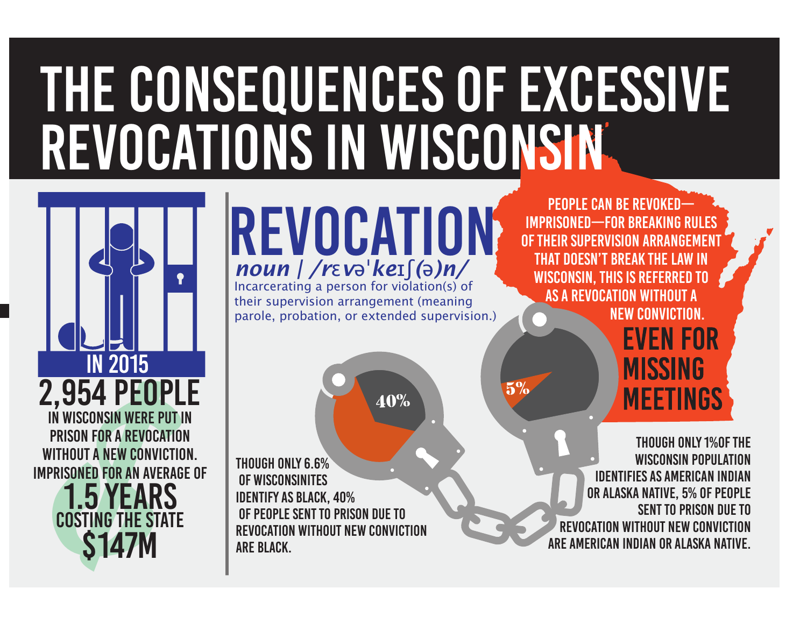# The Consequences of Excessive Revocations in Wisconsin



# revocation *noun | /r*<sup>ɛ</sup> *<sup>v</sup>*ə<sup>ˈ</sup>*ke*ɪʃ *(*ə*)n/*

Incarcerating a person for violation(s) of their supervision arrangement (meaning parole, probation, or extended supervision.)

 $40\%$  5%

Though only 6.6% of Wisconsinites identify as Black, 40% of people sent to prison due to revocation without new convictionare Black.

People can be revokedimprisoned—for breaking RULES of their supervision arrangement that doesn't break the law InWisconsin, this is referred to as a revocation without anew conviction. **EVEN FOR** 

Though only 1%of theWisconsin populationidentifies as American Indianor Alaska Native, 5% of people sent to prison due torevocation without new convictionare American Indian or Alaska Native.

**MISSING** 

**MEETINGS**